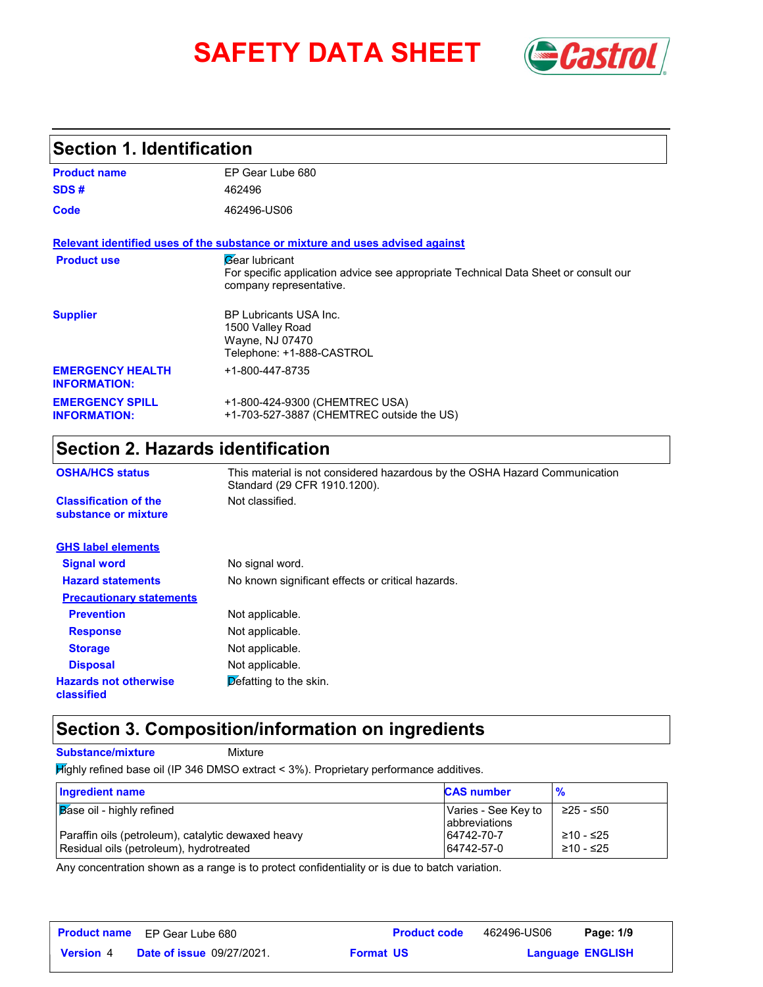# **SAFETY DATA SHEET** *Castrol*



# **Section 1. Identification**

| <b>Product name</b>                            | EP Gear Lube 680                                                                                                                               |
|------------------------------------------------|------------------------------------------------------------------------------------------------------------------------------------------------|
| SDS#                                           | 462496                                                                                                                                         |
| Code                                           | 462496-US06                                                                                                                                    |
|                                                | Relevant identified uses of the substance or mixture and uses advised against                                                                  |
| <b>Product use</b>                             | <b><i>Gear</i></b> lubricant<br>For specific application advice see appropriate Technical Data Sheet or consult our<br>company representative. |
| <b>Supplier</b>                                | BP Lubricants USA Inc.<br>1500 Valley Road<br>Wayne, NJ 07470<br>Telephone: +1-888-CASTROL                                                     |
| <b>EMERGENCY HEALTH</b><br><b>INFORMATION:</b> | +1-800-447-8735                                                                                                                                |
| <b>EMERGENCY SPILL</b><br><b>INFORMATION:</b>  | +1-800-424-9300 (CHEMTREC USA)<br>+1-703-527-3887 (CHEMTREC outside the US)                                                                    |

# **Section 2. Hazards identification**

| <b>OSHA/HCS status</b>                               | This material is not considered hazardous by the OSHA Hazard Communication<br>Standard (29 CFR 1910.1200). |
|------------------------------------------------------|------------------------------------------------------------------------------------------------------------|
| <b>Classification of the</b><br>substance or mixture | Not classified.                                                                                            |
| <b>GHS label elements</b>                            |                                                                                                            |
| <b>Signal word</b>                                   | No signal word.                                                                                            |
| <b>Hazard statements</b>                             | No known significant effects or critical hazards.                                                          |
| <b>Precautionary statements</b>                      |                                                                                                            |
| <b>Prevention</b>                                    | Not applicable.                                                                                            |
| <b>Response</b>                                      | Not applicable.                                                                                            |
| <b>Storage</b>                                       | Not applicable.                                                                                            |
| <b>Disposal</b>                                      | Not applicable.                                                                                            |
| <b>Hazards not otherwise</b><br>classified           | Defatting to the skin.                                                                                     |

# **Section 3. Composition/information on ingredients**

**Substance/mixture Mixture** 

Highly refined base oil (IP 346 DMSO extract < 3%). Proprietary performance additives.

| Ingredient name                                                                               | <b>CAS number</b>                             | $\frac{9}{6}$          |
|-----------------------------------------------------------------------------------------------|-----------------------------------------------|------------------------|
| <b>Base oil - highly refined</b>                                                              | Varies - See Key to<br><b>l</b> abbreviations | ≥25 - ≤50              |
| Paraffin oils (petroleum), catalytic dewaxed heavy<br>Residual oils (petroleum), hydrotreated | 64742-70-7<br>64742-57-0                      | ≥10 - ≤25<br>≥10 - ≤25 |

Any concentration shown as a range is to protect confidentiality or is due to batch variation.

|                  | <b>Product name</b> EP Gear Lube 680 | <b>Product code</b> | 462496-US06 | Page: 1/9               |
|------------------|--------------------------------------|---------------------|-------------|-------------------------|
| <b>Version 4</b> | <b>Date of issue 09/27/2021.</b>     | <b>Format US</b>    |             | <b>Language ENGLISH</b> |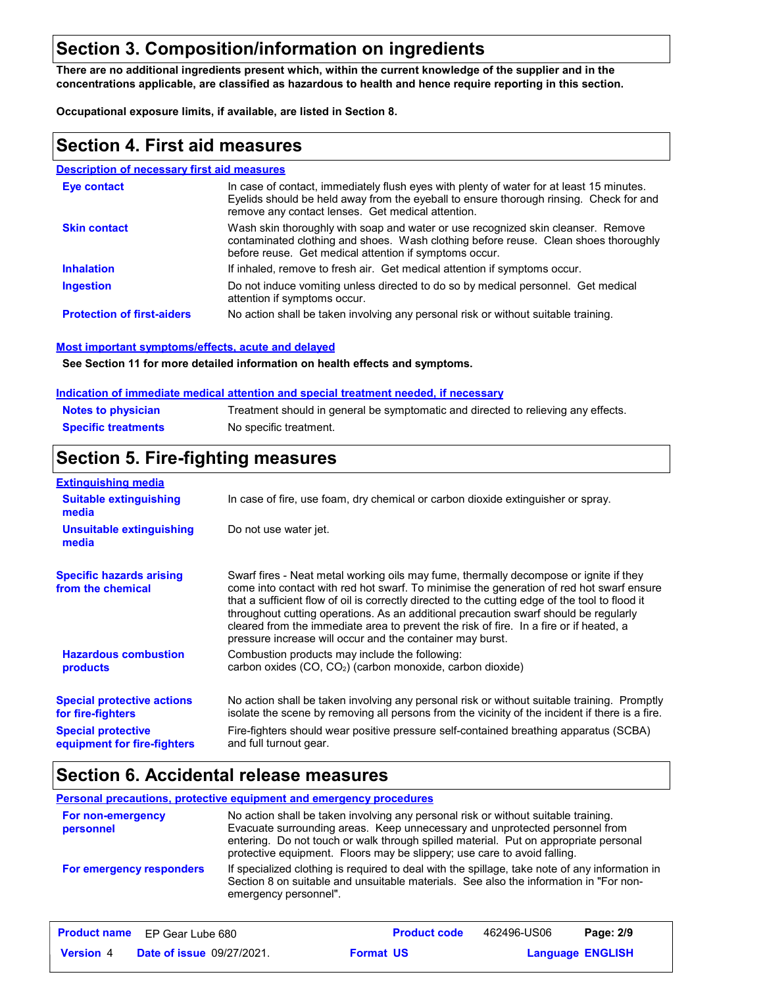# **Section 3. Composition/information on ingredients**

**There are no additional ingredients present which, within the current knowledge of the supplier and in the concentrations applicable, are classified as hazardous to health and hence require reporting in this section.**

**Occupational exposure limits, if available, are listed in Section 8.**

### **Section 4. First aid measures**

### **Description of necessary first aid measures**

| Eye contact                       | In case of contact, immediately flush eyes with plenty of water for at least 15 minutes.<br>Eyelids should be held away from the eyeball to ensure thorough rinsing. Check for and<br>remove any contact lenses. Get medical attention. |
|-----------------------------------|-----------------------------------------------------------------------------------------------------------------------------------------------------------------------------------------------------------------------------------------|
| <b>Skin contact</b>               | Wash skin thoroughly with soap and water or use recognized skin cleanser. Remove<br>contaminated clothing and shoes. Wash clothing before reuse. Clean shoes thoroughly<br>before reuse. Get medical attention if symptoms occur.       |
| <b>Inhalation</b>                 | If inhaled, remove to fresh air. Get medical attention if symptoms occur.                                                                                                                                                               |
| <b>Ingestion</b>                  | Do not induce vomiting unless directed to do so by medical personnel. Get medical<br>attention if symptoms occur.                                                                                                                       |
| <b>Protection of first-aiders</b> | No action shall be taken involving any personal risk or without suitable training.                                                                                                                                                      |

#### **Most important symptoms/effects, acute and delayed**

**See Section 11 for more detailed information on health effects and symptoms.**

#### **Indication of immediate medical attention and special treatment needed, if necessary**

| <b>Notes to physician</b>  | Treatment should in general be symptomatic and directed to relieving any effects. |
|----------------------------|-----------------------------------------------------------------------------------|
| <b>Specific treatments</b> | No specific treatment.                                                            |

# **Section 5. Fire-fighting measures**

| <b>Extinguishing media</b>                               |                                                                                                                                                                                                                                                                                                                                                                                                                                                                                                                                     |
|----------------------------------------------------------|-------------------------------------------------------------------------------------------------------------------------------------------------------------------------------------------------------------------------------------------------------------------------------------------------------------------------------------------------------------------------------------------------------------------------------------------------------------------------------------------------------------------------------------|
| <b>Suitable extinguishing</b><br>media                   | In case of fire, use foam, dry chemical or carbon dioxide extinguisher or spray.                                                                                                                                                                                                                                                                                                                                                                                                                                                    |
| Unsuitable extinguishing<br>media                        | Do not use water jet.                                                                                                                                                                                                                                                                                                                                                                                                                                                                                                               |
| <b>Specific hazards arising</b><br>from the chemical     | Swarf fires - Neat metal working oils may fume, thermally decompose or ignite if they<br>come into contact with red hot swarf. To minimise the generation of red hot swarf ensure<br>that a sufficient flow of oil is correctly directed to the cutting edge of the tool to flood it<br>throughout cutting operations. As an additional precaution swarf should be regularly<br>cleared from the immediate area to prevent the risk of fire. In a fire or if heated, a<br>pressure increase will occur and the container may burst. |
| <b>Hazardous combustion</b><br><b>products</b>           | Combustion products may include the following:<br>carbon oxides (CO, CO <sub>2</sub> ) (carbon monoxide, carbon dioxide)                                                                                                                                                                                                                                                                                                                                                                                                            |
| <b>Special protective actions</b><br>for fire-fighters   | No action shall be taken involving any personal risk or without suitable training. Promptly<br>isolate the scene by removing all persons from the vicinity of the incident if there is a fire.                                                                                                                                                                                                                                                                                                                                      |
| <b>Special protective</b><br>equipment for fire-fighters | Fire-fighters should wear positive pressure self-contained breathing apparatus (SCBA)<br>and full turnout gear.                                                                                                                                                                                                                                                                                                                                                                                                                     |

### **Section 6. Accidental release measures**

#### **Personal precautions, protective equipment and emergency procedures**

| <b>For non-emergency</b><br>personnel | No action shall be taken involving any personal risk or without suitable training.<br>Evacuate surrounding areas. Keep unnecessary and unprotected personnel from<br>entering. Do not touch or walk through spilled material. Put on appropriate personal<br>protective equipment. Floors may be slippery; use care to avoid falling. |
|---------------------------------------|---------------------------------------------------------------------------------------------------------------------------------------------------------------------------------------------------------------------------------------------------------------------------------------------------------------------------------------|
| For emergency responders              | If specialized clothing is required to deal with the spillage, take note of any information in<br>Section 8 on suitable and unsuitable materials. See also the information in "For non-<br>emergency personnel".                                                                                                                      |

|                  | <b>Product name</b> EP Gear Lube 680 |                  | <b>Product code</b> | 462496-US06             | Page: 2/9 |  |
|------------------|--------------------------------------|------------------|---------------------|-------------------------|-----------|--|
| <b>Version</b> 4 | <b>Date of issue 09/27/2021.</b>     | <b>Format US</b> |                     | <b>Language ENGLISH</b> |           |  |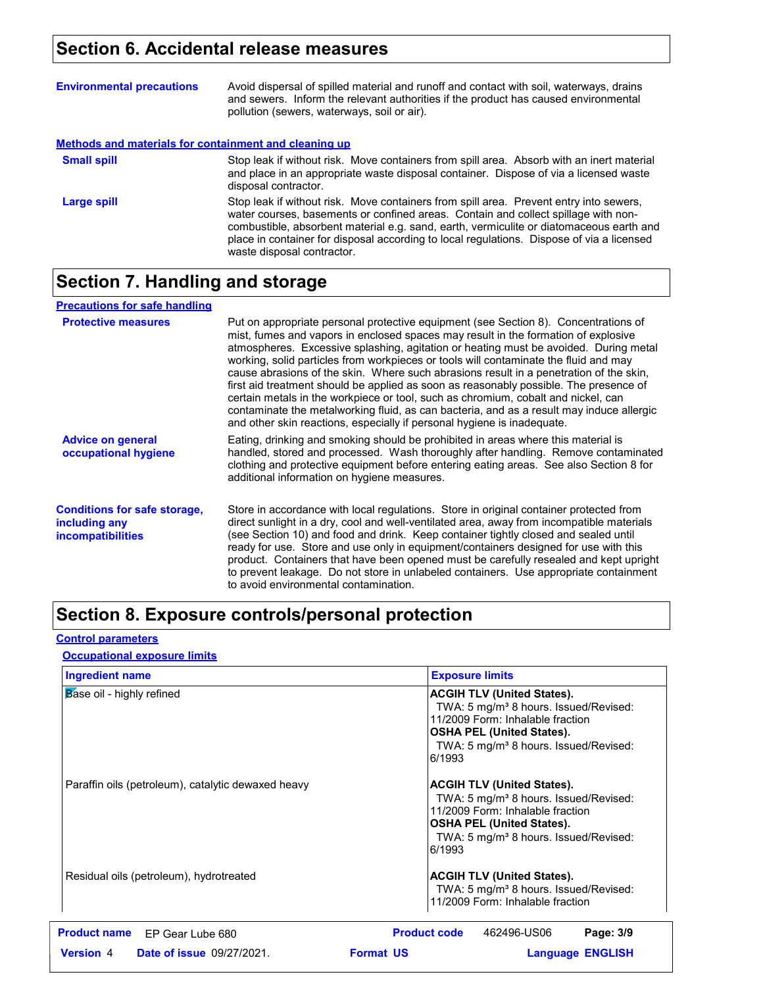# **Section 6. Accidental release measures**

| <b>Environmental precautions</b>                      | Avoid dispersal of spilled material and runoff and contact with soil, waterways, drains<br>and sewers. Inform the relevant authorities if the product has caused environmental<br>pollution (sewers, waterways, soil or air).                                                                                                                                                                      |
|-------------------------------------------------------|----------------------------------------------------------------------------------------------------------------------------------------------------------------------------------------------------------------------------------------------------------------------------------------------------------------------------------------------------------------------------------------------------|
| Methods and materials for containment and cleaning up |                                                                                                                                                                                                                                                                                                                                                                                                    |
| <b>Small spill</b>                                    | Stop leak if without risk. Move containers from spill area. Absorb with an inert material<br>and place in an appropriate waste disposal container. Dispose of via a licensed waste<br>disposal contractor.                                                                                                                                                                                         |
| Large spill                                           | Stop leak if without risk. Move containers from spill area. Prevent entry into sewers,<br>water courses, basements or confined areas. Contain and collect spillage with non-<br>combustible, absorbent material e.g. sand, earth, vermiculite or diatomaceous earth and<br>place in container for disposal according to local regulations. Dispose of via a licensed<br>waste disposal contractor. |

# **Section 7. Handling and storage**

| <b>Precautions for safe handling</b>                                             |                                                                                                                                                                                                                                                                                                                                                                                                                                                                                                                                                                                                                                                                                                                                                                                                          |
|----------------------------------------------------------------------------------|----------------------------------------------------------------------------------------------------------------------------------------------------------------------------------------------------------------------------------------------------------------------------------------------------------------------------------------------------------------------------------------------------------------------------------------------------------------------------------------------------------------------------------------------------------------------------------------------------------------------------------------------------------------------------------------------------------------------------------------------------------------------------------------------------------|
| <b>Protective measures</b>                                                       | Put on appropriate personal protective equipment (see Section 8). Concentrations of<br>mist, fumes and vapors in enclosed spaces may result in the formation of explosive<br>atmospheres. Excessive splashing, agitation or heating must be avoided. During metal<br>working, solid particles from workpieces or tools will contaminate the fluid and may<br>cause abrasions of the skin. Where such abrasions result in a penetration of the skin,<br>first aid treatment should be applied as soon as reasonably possible. The presence of<br>certain metals in the workpiece or tool, such as chromium, cobalt and nickel, can<br>contaminate the metalworking fluid, as can bacteria, and as a result may induce allergic<br>and other skin reactions, especially if personal hygiene is inadequate. |
| <b>Advice on general</b><br>occupational hygiene                                 | Eating, drinking and smoking should be prohibited in areas where this material is<br>handled, stored and processed. Wash thoroughly after handling. Remove contaminated<br>clothing and protective equipment before entering eating areas. See also Section 8 for<br>additional information on hygiene measures.                                                                                                                                                                                                                                                                                                                                                                                                                                                                                         |
| <b>Conditions for safe storage,</b><br>including any<br><i>incompatibilities</i> | Store in accordance with local regulations. Store in original container protected from<br>direct sunlight in a dry, cool and well-ventilated area, away from incompatible materials<br>(see Section 10) and food and drink. Keep container tightly closed and sealed until<br>ready for use. Store and use only in equipment/containers designed for use with this<br>product. Containers that have been opened must be carefully resealed and kept upright<br>to prevent leakage. Do not store in unlabeled containers. Use appropriate containment<br>to avoid environmental contamination.                                                                                                                                                                                                            |

# **Section 8. Exposure controls/personal protection**

### **Control parameters**

### **Occupational exposure limits**

| <b>Ingredient name</b>                               | <b>Exposure limits</b>                                                                                                                                                                                                        |
|------------------------------------------------------|-------------------------------------------------------------------------------------------------------------------------------------------------------------------------------------------------------------------------------|
| Base oil - highly refined                            | <b>ACGIH TLV (United States).</b><br>TWA: 5 mg/m <sup>3</sup> 8 hours. Issued/Revised:<br>11/2009 Form: Inhalable fraction<br><b>OSHA PEL (United States).</b><br>TWA: 5 mg/m <sup>3</sup> 8 hours. Issued/Revised:<br>6/1993 |
| Paraffin oils (petroleum), catalytic dewaxed heavy   | <b>ACGIH TLV (United States).</b><br>TWA: 5 mg/m <sup>3</sup> 8 hours. Issued/Revised:<br>11/2009 Form: Inhalable fraction<br><b>OSHA PEL (United States).</b><br>TWA: 5 mg/m <sup>3</sup> 8 hours. Issued/Revised:<br>6/1993 |
| Residual oils (petroleum), hydrotreated              | <b>ACGIH TLV (United States).</b><br>TWA: 5 mg/m <sup>3</sup> 8 hours. Issued/Revised:<br>11/2009 Form: Inhalable fraction                                                                                                    |
| <b>Product name</b><br>EP Gear Lube 680              | <b>Product code</b><br>462496-US06<br>Page: 3/9                                                                                                                                                                               |
| <b>Version 4</b><br><b>Date of issue 09/27/2021.</b> | <b>Format US</b><br><b>Language ENGLISH</b>                                                                                                                                                                                   |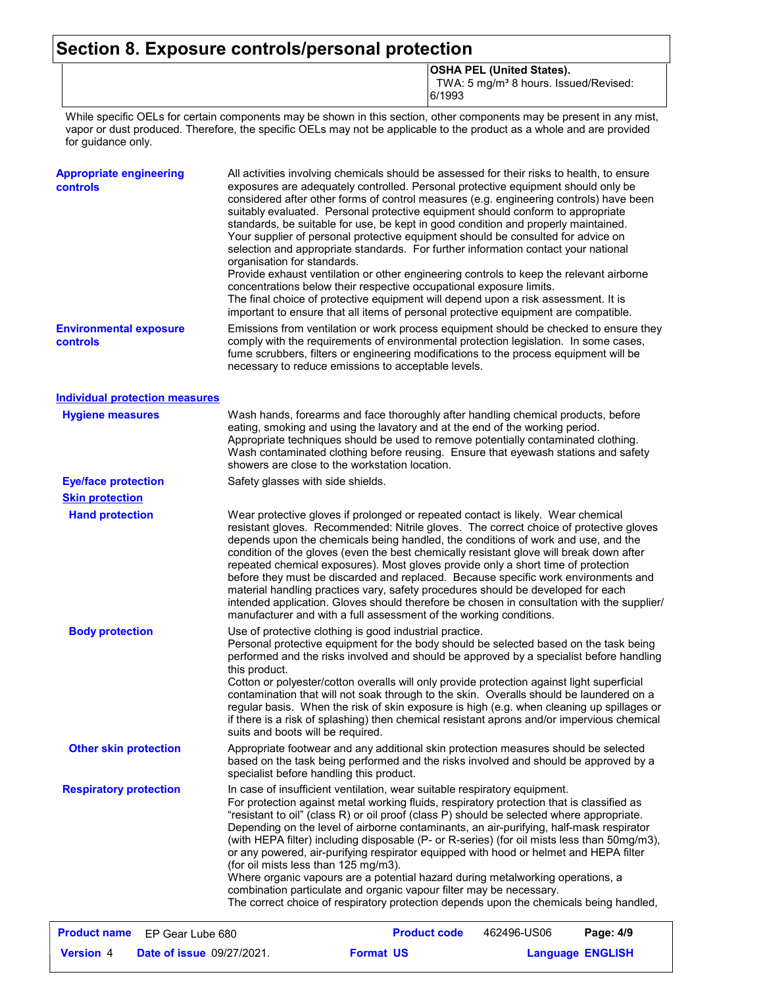# **Section 8. Exposure controls/personal protection**

**OSHA PEL (United States).**

TWA: 5 mg/m<sup>3</sup> 8 hours. Issued/Revised: 6/1993

**Language ENGLISH** 

While specific OELs for certain components may be shown in this section, other components may be present in any mist, vapor or dust produced. Therefore, the specific OELs may not be applicable to the product as a whole and are provided for guidance only.

| <b>Appropriate engineering</b><br><b>controls</b> | All activities involving chemicals should be assessed for their risks to health, to ensure<br>exposures are adequately controlled. Personal protective equipment should only be<br>considered after other forms of control measures (e.g. engineering controls) have been<br>suitably evaluated. Personal protective equipment should conform to appropriate<br>standards, be suitable for use, be kept in good condition and properly maintained.<br>Your supplier of personal protective equipment should be consulted for advice on<br>selection and appropriate standards. For further information contact your national<br>organisation for standards.<br>Provide exhaust ventilation or other engineering controls to keep the relevant airborne                                                                                            |                     |             |           |
|---------------------------------------------------|---------------------------------------------------------------------------------------------------------------------------------------------------------------------------------------------------------------------------------------------------------------------------------------------------------------------------------------------------------------------------------------------------------------------------------------------------------------------------------------------------------------------------------------------------------------------------------------------------------------------------------------------------------------------------------------------------------------------------------------------------------------------------------------------------------------------------------------------------|---------------------|-------------|-----------|
|                                                   | concentrations below their respective occupational exposure limits.<br>The final choice of protective equipment will depend upon a risk assessment. It is<br>important to ensure that all items of personal protective equipment are compatible.                                                                                                                                                                                                                                                                                                                                                                                                                                                                                                                                                                                                  |                     |             |           |
| <b>Environmental exposure</b><br><b>controls</b>  | Emissions from ventilation or work process equipment should be checked to ensure they<br>comply with the requirements of environmental protection legislation. In some cases,<br>fume scrubbers, filters or engineering modifications to the process equipment will be<br>necessary to reduce emissions to acceptable levels.                                                                                                                                                                                                                                                                                                                                                                                                                                                                                                                     |                     |             |           |
| <b>Individual protection measures</b>             |                                                                                                                                                                                                                                                                                                                                                                                                                                                                                                                                                                                                                                                                                                                                                                                                                                                   |                     |             |           |
| <b>Hygiene measures</b>                           | Wash hands, forearms and face thoroughly after handling chemical products, before<br>eating, smoking and using the lavatory and at the end of the working period.<br>Appropriate techniques should be used to remove potentially contaminated clothing.<br>Wash contaminated clothing before reusing. Ensure that eyewash stations and safety<br>showers are close to the workstation location.                                                                                                                                                                                                                                                                                                                                                                                                                                                   |                     |             |           |
| <b>Eye/face protection</b>                        | Safety glasses with side shields.                                                                                                                                                                                                                                                                                                                                                                                                                                                                                                                                                                                                                                                                                                                                                                                                                 |                     |             |           |
| <b>Skin protection</b>                            |                                                                                                                                                                                                                                                                                                                                                                                                                                                                                                                                                                                                                                                                                                                                                                                                                                                   |                     |             |           |
| <b>Hand protection</b>                            | Wear protective gloves if prolonged or repeated contact is likely. Wear chemical<br>resistant gloves. Recommended: Nitrile gloves. The correct choice of protective gloves<br>depends upon the chemicals being handled, the conditions of work and use, and the<br>condition of the gloves (even the best chemically resistant glove will break down after<br>repeated chemical exposures). Most gloves provide only a short time of protection<br>before they must be discarded and replaced. Because specific work environments and<br>material handling practices vary, safety procedures should be developed for each<br>intended application. Gloves should therefore be chosen in consultation with the supplier/<br>manufacturer and with a full assessment of the working conditions.                                                     |                     |             |           |
| <b>Body protection</b>                            | Use of protective clothing is good industrial practice.<br>Personal protective equipment for the body should be selected based on the task being<br>performed and the risks involved and should be approved by a specialist before handling<br>this product.<br>Cotton or polyester/cotton overalls will only provide protection against light superficial<br>contamination that will not soak through to the skin. Overalls should be laundered on a<br>regular basis. When the risk of skin exposure is high (e.g. when cleaning up spillages or<br>if there is a risk of splashing) then chemical resistant aprons and/or impervious chemical<br>suits and boots will be required.                                                                                                                                                             |                     |             |           |
| <b>Other skin protection</b>                      | Appropriate footwear and any additional skin protection measures should be selected<br>based on the task being performed and the risks involved and should be approved by a<br>specialist before handling this product.                                                                                                                                                                                                                                                                                                                                                                                                                                                                                                                                                                                                                           |                     |             |           |
| <b>Respiratory protection</b>                     | In case of insufficient ventilation, wear suitable respiratory equipment.<br>For protection against metal working fluids, respiratory protection that is classified as<br>"resistant to oil" (class R) or oil proof (class P) should be selected where appropriate.<br>Depending on the level of airborne contaminants, an air-purifying, half-mask respirator<br>(with HEPA filter) including disposable (P- or R-series) (for oil mists less than 50mg/m3),<br>or any powered, air-purifying respirator equipped with hood or helmet and HEPA filter<br>(for oil mists less than 125 mg/m3).<br>Where organic vapours are a potential hazard during metalworking operations, a<br>combination particulate and organic vapour filter may be necessary.<br>The correct choice of respiratory protection depends upon the chemicals being handled, |                     |             |           |
| <b>Product name</b><br>EP Gear Lube 680           |                                                                                                                                                                                                                                                                                                                                                                                                                                                                                                                                                                                                                                                                                                                                                                                                                                                   | <b>Product code</b> | 462496-US06 | Page: 4/9 |

**Date of issue** 09/27/2021. **Version** 4 **Format Language**

**Format US**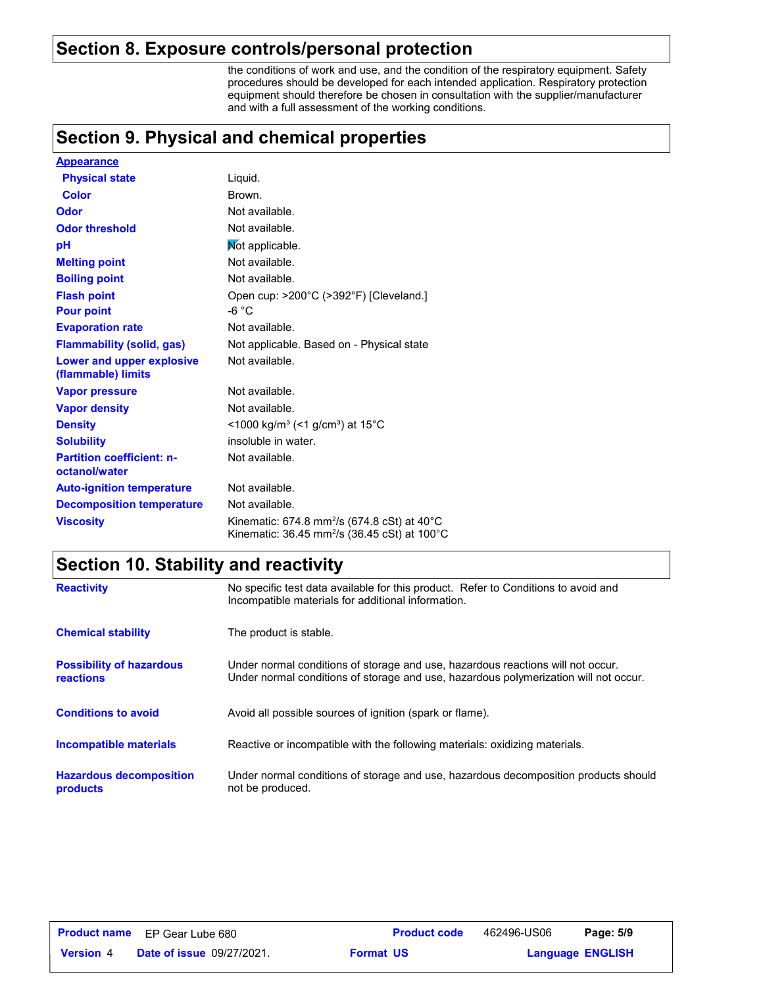### **Section 8. Exposure controls/personal protection**

the conditions of work and use, and the condition of the respiratory equipment. Safety procedures should be developed for each intended application. Respiratory protection equipment should therefore be chosen in consultation with the supplier/manufacturer and with a full assessment of the working conditions.

### **Section 9. Physical and chemical properties**

| <b>Appearance</b>                                 |                                                                                                                                |
|---------------------------------------------------|--------------------------------------------------------------------------------------------------------------------------------|
| <b>Physical state</b>                             | Liquid.                                                                                                                        |
| <b>Color</b>                                      | Brown.                                                                                                                         |
| Odor                                              | Not available.                                                                                                                 |
| <b>Odor threshold</b>                             | Not available.                                                                                                                 |
| pH                                                | Not applicable.                                                                                                                |
| <b>Melting point</b>                              | Not available.                                                                                                                 |
| <b>Boiling point</b>                              | Not available.                                                                                                                 |
| <b>Flash point</b>                                | Open cup: >200°C (>392°F) [Cleveland.]                                                                                         |
| <b>Pour point</b>                                 | -6 °C                                                                                                                          |
| <b>Evaporation rate</b>                           | Not available.                                                                                                                 |
| <b>Flammability (solid, gas)</b>                  | Not applicable. Based on - Physical state                                                                                      |
| Lower and upper explosive<br>(flammable) limits   | Not available.                                                                                                                 |
| <b>Vapor pressure</b>                             | Not available.                                                                                                                 |
| <b>Vapor density</b>                              | Not available.                                                                                                                 |
| <b>Density</b>                                    | <1000 kg/m <sup>3</sup> (<1 g/cm <sup>3</sup> ) at 15 <sup>°</sup> C                                                           |
| <b>Solubility</b>                                 | insoluble in water.                                                                                                            |
| <b>Partition coefficient: n-</b><br>octanol/water | Not available.                                                                                                                 |
| <b>Auto-ignition temperature</b>                  | Not available.                                                                                                                 |
| <b>Decomposition temperature</b>                  | Not available.                                                                                                                 |
| <b>Viscosity</b>                                  | Kinematic: 674.8 mm <sup>2</sup> /s (674.8 cSt) at 40 $^{\circ}$ C<br>Kinematic: 36.45 mm <sup>2</sup> /s (36.45 cSt) at 100°C |

# **Section 10. Stability and reactivity**

| <b>Reactivity</b>                                   | No specific test data available for this product. Refer to Conditions to avoid and<br>Incompatible materials for additional information.                                |
|-----------------------------------------------------|-------------------------------------------------------------------------------------------------------------------------------------------------------------------------|
| <b>Chemical stability</b>                           | The product is stable.                                                                                                                                                  |
| <b>Possibility of hazardous</b><br><b>reactions</b> | Under normal conditions of storage and use, hazardous reactions will not occur.<br>Under normal conditions of storage and use, hazardous polymerization will not occur. |
| <b>Conditions to avoid</b>                          | Avoid all possible sources of ignition (spark or flame).                                                                                                                |
| <b>Incompatible materials</b>                       | Reactive or incompatible with the following materials: oxidizing materials.                                                                                             |
| <b>Hazardous decomposition</b><br>products          | Under normal conditions of storage and use, hazardous decomposition products should<br>not be produced.                                                                 |

|                  | <b>Product name</b> EP Gear Lube 680 |                  | <b>Product code</b> | 462496-US06             | Page: 5/9 |  |
|------------------|--------------------------------------|------------------|---------------------|-------------------------|-----------|--|
| <b>Version 4</b> | <b>Date of issue 09/27/2021.</b>     | <b>Format US</b> |                     | <b>Language ENGLISH</b> |           |  |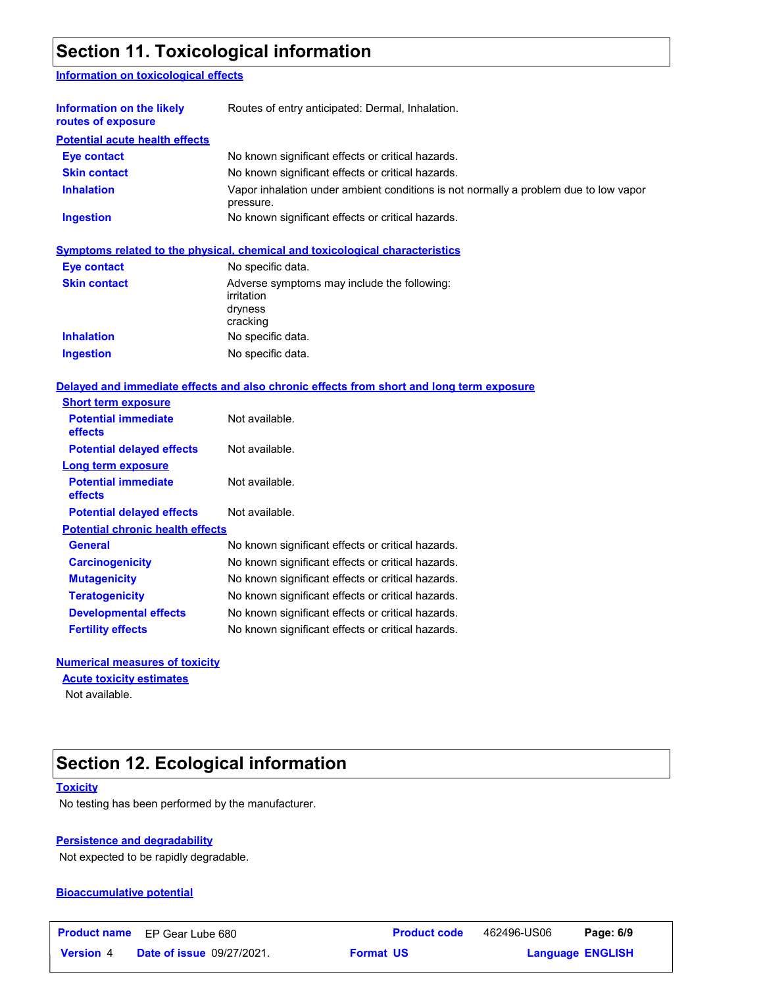# **Section 11. Toxicological information**

### **Information on toxicological effects**

| Information on the likely<br>routes of exposure | Routes of entry anticipated: Dermal, Inhalation.                                                  |
|-------------------------------------------------|---------------------------------------------------------------------------------------------------|
| <b>Potential acute health effects</b>           |                                                                                                   |
| <b>Eye contact</b>                              | No known significant effects or critical hazards.                                                 |
| <b>Skin contact</b>                             | No known significant effects or critical hazards.                                                 |
| <b>Inhalation</b>                               | Vapor inhalation under ambient conditions is not normally a problem due to low vapor<br>pressure. |
| <b>Ingestion</b>                                | No known significant effects or critical hazards.                                                 |

|                     | Symptoms related to the physical, chemical and toxicological characteristics     |
|---------------------|----------------------------------------------------------------------------------|
| <b>Eye contact</b>  | No specific data.                                                                |
| <b>Skin contact</b> | Adverse symptoms may include the following:<br>irritation<br>dryness<br>cracking |
| <b>Inhalation</b>   | No specific data.                                                                |
| <b>Ingestion</b>    | No specific data.                                                                |

### **Delayed and immediate effects and also chronic effects from short and long term exposure**

| <b>Short term exposure</b>                   |                                                   |
|----------------------------------------------|---------------------------------------------------|
| <b>Potential immediate</b><br>effects        | Not available.                                    |
| <b>Potential delayed effects</b>             | Not available.                                    |
| Long term exposure                           |                                                   |
| <b>Potential immediate</b><br><b>effects</b> | Not available.                                    |
| <b>Potential delayed effects</b>             | Not available.                                    |
| <b>Potential chronic health effects</b>      |                                                   |
| General                                      | No known significant effects or critical hazards. |
| <b>Carcinogenicity</b>                       | No known significant effects or critical hazards. |
| <b>Mutagenicity</b>                          | No known significant effects or critical hazards. |
| <b>Teratogenicity</b>                        | No known significant effects or critical hazards. |
| <b>Developmental effects</b>                 | No known significant effects or critical hazards. |
| <b>Fertility effects</b>                     | No known significant effects or critical hazards. |

### **Numerical measures of toxicity**

**Acute toxicity estimates**

Not available.

# **Section 12. Ecological information**

#### **Toxicity**

No testing has been performed by the manufacturer.

### **Persistence and degradability**

Not expected to be rapidly degradable.

#### **Bioaccumulative potential**

|                  | <b>Product name</b> EP Gear Lube 680 | <b>Product code</b> | 462496-US06 | Page: 6/9               |  |
|------------------|--------------------------------------|---------------------|-------------|-------------------------|--|
| <b>Version 4</b> | <b>Date of issue 09/27/2021.</b>     | <b>Format US</b>    |             | <b>Language ENGLISH</b> |  |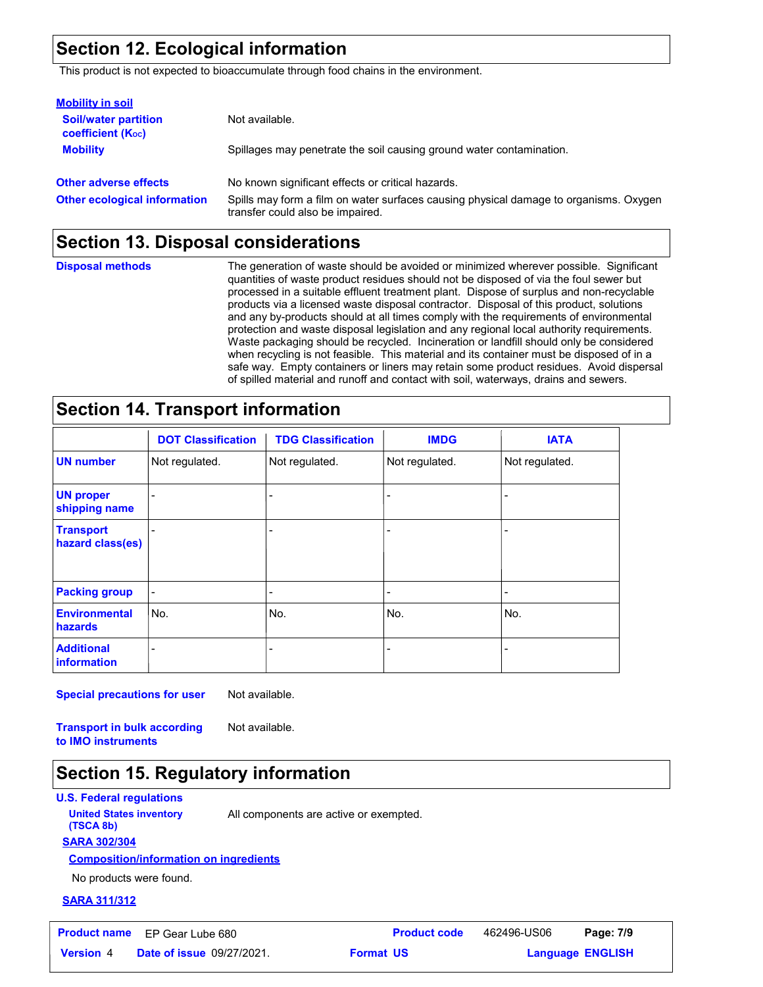# **Section 12. Ecological information**

This product is not expected to bioaccumulate through food chains in the environment.

| <b>Mobility in soil</b>                                 |                                                                                                                           |
|---------------------------------------------------------|---------------------------------------------------------------------------------------------------------------------------|
| <b>Soil/water partition</b><br><b>coefficient (Koc)</b> | Not available.                                                                                                            |
| <b>Mobility</b>                                         | Spillages may penetrate the soil causing ground water contamination.                                                      |
| <b>Other adverse effects</b>                            | No known significant effects or critical hazards.                                                                         |
| <b>Other ecological information</b>                     | Spills may form a film on water surfaces causing physical damage to organisms. Oxygen<br>transfer could also be impaired. |

### **Section 13. Disposal considerations**

**Disposal methods**

The generation of waste should be avoided or minimized wherever possible. Significant quantities of waste product residues should not be disposed of via the foul sewer but processed in a suitable effluent treatment plant. Dispose of surplus and non-recyclable products via a licensed waste disposal contractor. Disposal of this product, solutions and any by-products should at all times comply with the requirements of environmental protection and waste disposal legislation and any regional local authority requirements. Waste packaging should be recycled. Incineration or landfill should only be considered when recycling is not feasible. This material and its container must be disposed of in a safe way. Empty containers or liners may retain some product residues. Avoid dispersal of spilled material and runoff and contact with soil, waterways, drains and sewers.

# **Section 14. Transport information**

|                                      | <b>DOT Classification</b> | <b>TDG Classification</b> | <b>IMDG</b>    | <b>IATA</b>    |
|--------------------------------------|---------------------------|---------------------------|----------------|----------------|
| <b>UN number</b>                     | Not regulated.            | Not regulated.            | Not regulated. | Not regulated. |
| <b>UN proper</b><br>shipping name    |                           |                           |                |                |
| <b>Transport</b><br>hazard class(es) |                           |                           |                |                |
| <b>Packing group</b>                 |                           |                           |                |                |
| <b>Environmental</b><br>hazards      | No.                       | No.                       | No.            | l No.          |
| <b>Additional</b><br>information     |                           |                           |                |                |

**Special precautions for user** Not available.

**Transport in bulk according to IMO instruments** Not available.

### **Section 15. Regulatory information**

**U.S. Federal regulations**

**United States inventory** All components are active or exempted.

**SARA 302/304 (TSCA 8b)**

### **Composition/information on ingredients**

No products were found.

#### **SARA 311/312**

|                  | <b>Product name</b> EP Gear Lube 680 |                  | <b>Product code</b> | 462496-US06             | Page: 7/9 |  |
|------------------|--------------------------------------|------------------|---------------------|-------------------------|-----------|--|
| <b>Version</b> 4 | <b>Date of issue 09/27/2021.</b>     | <b>Format US</b> |                     | <b>Language ENGLISH</b> |           |  |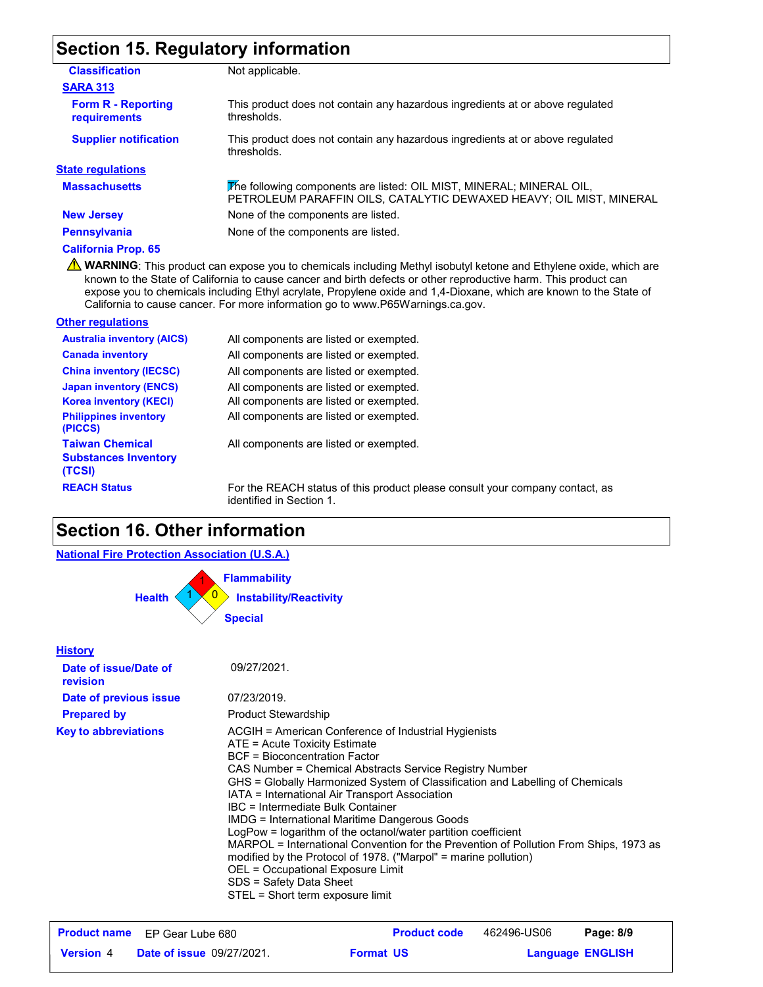# **Section 15. Regulatory information**

| <b>Classification</b>                      | Not applicable.                                                                                                                             |
|--------------------------------------------|---------------------------------------------------------------------------------------------------------------------------------------------|
| <b>SARA 313</b>                            |                                                                                                                                             |
| <b>Form R - Reporting</b><br>requirements  | This product does not contain any hazardous ingredients at or above requiated<br>thresholds.                                                |
| <b>Supplier notification</b>               | This product does not contain any hazardous ingredients at or above regulated<br>thresholds.                                                |
| <b>State regulations</b>                   |                                                                                                                                             |
| <b>Massachusetts</b>                       | The following components are listed: OIL MIST, MINERAL; MINERAL OIL,<br>PETROLEUM PARAFFIN OILS, CATALYTIC DEWAXED HEAVY; OIL MIST, MINERAL |
| <b>New Jersey</b>                          | None of the components are listed.                                                                                                          |
| <b>Pennsylvania</b>                        | None of the components are listed.                                                                                                          |
| <b>California Prop. 65</b><br>$\mathbf{A}$ |                                                                                                                                             |

WARNING: This product can expose you to chemicals including Methyl isobutyl ketone and Ethylene oxide, which are known to the State of California to cause cancer and birth defects or other reproductive harm. This product can expose you to chemicals including Ethyl acrylate, Propylene oxide and 1,4-Dioxane, which are known to the State of California to cause cancer. For more information go to www.P65Warnings.ca.gov.

| <b>Other regulations</b>                                        |                                                                                                          |
|-----------------------------------------------------------------|----------------------------------------------------------------------------------------------------------|
| <b>Australia inventory (AICS)</b>                               | All components are listed or exempted.                                                                   |
| <b>Canada inventory</b>                                         | All components are listed or exempted.                                                                   |
| <b>China inventory (IECSC)</b>                                  | All components are listed or exempted.                                                                   |
| <b>Japan inventory (ENCS)</b>                                   | All components are listed or exempted.                                                                   |
| <b>Korea inventory (KECI)</b>                                   | All components are listed or exempted.                                                                   |
| <b>Philippines inventory</b><br>(PICCS)                         | All components are listed or exempted.                                                                   |
| <b>Taiwan Chemical</b><br><b>Substances Inventory</b><br>(TCSI) | All components are listed or exempted.                                                                   |
| <b>REACH Status</b>                                             | For the REACH status of this product please consult your company contact, as<br>identified in Section 1. |

# **Section 16. Other information**

| <b>National Fire Protection Association (U.S.A.)</b>                                                                               |                                                                                                                                                                                                                                                                                                                                                                                                                                                                                                                                                                                                                                                                                                                                                 |  |  |  |
|------------------------------------------------------------------------------------------------------------------------------------|-------------------------------------------------------------------------------------------------------------------------------------------------------------------------------------------------------------------------------------------------------------------------------------------------------------------------------------------------------------------------------------------------------------------------------------------------------------------------------------------------------------------------------------------------------------------------------------------------------------------------------------------------------------------------------------------------------------------------------------------------|--|--|--|
| <b>Health</b>                                                                                                                      | <b>Flammability</b><br><b>Instability/Reactivity</b><br><b>Special</b>                                                                                                                                                                                                                                                                                                                                                                                                                                                                                                                                                                                                                                                                          |  |  |  |
| <b>History</b><br>Date of issue/Date of<br>revision<br>Date of previous issue<br><b>Prepared by</b><br><b>Key to abbreviations</b> | 09/27/2021.<br>07/23/2019.<br><b>Product Stewardship</b><br>ACGIH = American Conference of Industrial Hygienists<br>ATE = Acute Toxicity Estimate<br><b>BCF</b> = Bioconcentration Factor<br>CAS Number = Chemical Abstracts Service Registry Number<br>GHS = Globally Harmonized System of Classification and Labelling of Chemicals<br>IATA = International Air Transport Association<br>IBC = Intermediate Bulk Container<br>IMDG = International Maritime Dangerous Goods<br>LogPow = logarithm of the octanol/water partition coefficient<br>MARPOL = International Convention for the Prevention of Pollution From Ships, 1973 as<br>modified by the Protocol of 1978. ("Marpol" = marine pollution)<br>OEL = Occupational Exposure Limit |  |  |  |
|                                                                                                                                    | SDS = Safety Data Sheet<br>STEL = Short term exposure limit                                                                                                                                                                                                                                                                                                                                                                                                                                                                                                                                                                                                                                                                                     |  |  |  |

|                  | <b>Product name</b> EP Gear Lube 680 |                  | <b>Product code</b> | 462496-US06 | Page: 8/9               |  |
|------------------|--------------------------------------|------------------|---------------------|-------------|-------------------------|--|
| <b>Version</b> 4 | <b>Date of issue 09/27/2021.</b>     | <b>Format US</b> |                     |             | <b>Language ENGLISH</b> |  |